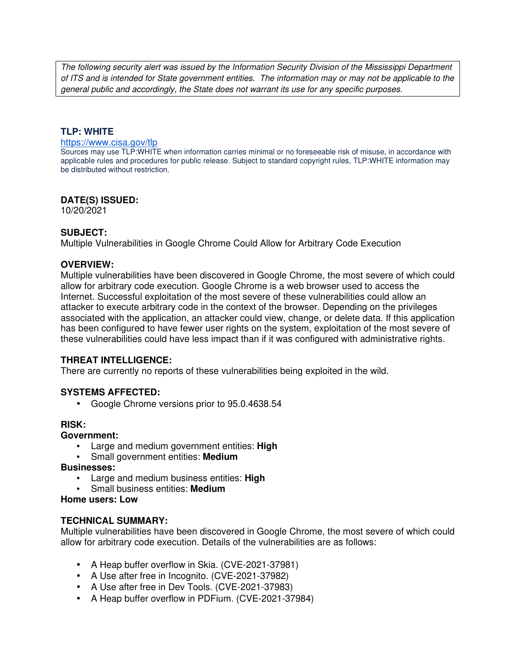The following security alert was issued by the Information Security Division of the Mississippi Department of ITS and is intended for State government entities. The information may or may not be applicable to the general public and accordingly, the State does not warrant its use for any specific purposes.

## **TLP: WHITE**

#### https://www.cisa.gov/tlp

Sources may use TLP:WHITE when information carries minimal or no foreseeable risk of misuse, in accordance with applicable rules and procedures for public release. Subject to standard copyright rules, TLP:WHITE information may be distributed without restriction.

#### **DATE(S) ISSUED:**

10/20/2021

### **SUBJECT:**

Multiple Vulnerabilities in Google Chrome Could Allow for Arbitrary Code Execution

### **OVERVIEW:**

Multiple vulnerabilities have been discovered in Google Chrome, the most severe of which could allow for arbitrary code execution. Google Chrome is a web browser used to access the Internet. Successful exploitation of the most severe of these vulnerabilities could allow an attacker to execute arbitrary code in the context of the browser. Depending on the privileges associated with the application, an attacker could view, change, or delete data. If this application has been configured to have fewer user rights on the system, exploitation of the most severe of these vulnerabilities could have less impact than if it was configured with administrative rights.

#### **THREAT INTELLIGENCE:**

There are currently no reports of these vulnerabilities being exploited in the wild.

### **SYSTEMS AFFECTED:**

• Google Chrome versions prior to 95.0.4638.54

#### **RISK:**

### **Government:**

- Large and medium government entities: **High**
- Small government entities: **Medium**

### **Businesses:**

- Large and medium business entities: **High**
- Small business entities: **Medium**

# **Home users: Low**

#### **TECHNICAL SUMMARY:**

Multiple vulnerabilities have been discovered in Google Chrome, the most severe of which could allow for arbitrary code execution. Details of the vulnerabilities are as follows:

- A Heap buffer overflow in Skia. (CVE-2021-37981)
- A Use after free in Incognito. (CVE-2021-37982)
- A Use after free in Dev Tools. (CVE-2021-37983)
- A Heap buffer overflow in PDFium. (CVE-2021-37984)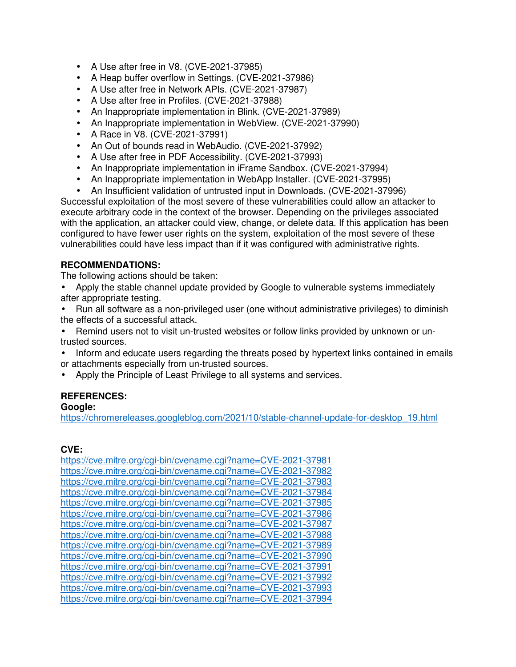- A Use after free in V8. (CVE-2021-37985)
- A Heap buffer overflow in Settings. (CVE-2021-37986)
- A Use after free in Network APIs. (CVE-2021-37987)
- A Use after free in Profiles. (CVE-2021-37988)
- An Inappropriate implementation in Blink. (CVE-2021-37989)
- An Inappropriate implementation in WebView. (CVE-2021-37990)
- A Race in V8. (CVE-2021-37991)
- An Out of bounds read in WebAudio. (CVE-2021-37992)
- A Use after free in PDF Accessibility. (CVE-2021-37993)
- An Inappropriate implementation in iFrame Sandbox. (CVE-2021-37994)
- An Inappropriate implementation in WebApp Installer. (CVE-2021-37995)
- An Insufficient validation of untrusted input in Downloads. (CVE-2021-37996)

Successful exploitation of the most severe of these vulnerabilities could allow an attacker to execute arbitrary code in the context of the browser. Depending on the privileges associated with the application, an attacker could view, change, or delete data. If this application has been configured to have fewer user rights on the system, exploitation of the most severe of these vulnerabilities could have less impact than if it was configured with administrative rights.

# **RECOMMENDATIONS:**

The following actions should be taken:

- Apply the stable channel update provided by Google to vulnerable systems immediately after appropriate testing.
- Run all software as a non-privileged user (one without administrative privileges) to diminish the effects of a successful attack.
- Remind users not to visit un-trusted websites or follow links provided by unknown or untrusted sources.
- Inform and educate users regarding the threats posed by hypertext links contained in emails or attachments especially from un-trusted sources.
- Apply the Principle of Least Privilege to all systems and services.

# **REFERENCES:**

#### **Google:**

https://chromereleases.googleblog.com/2021/10/stable-channel-update-for-desktop\_19.html

# **CVE:**

https://cve.mitre.org/cgi-bin/cvename.cgi?name=CVE-2021-37981 https://cve.mitre.org/cgi-bin/cvename.cgi?name=CVE-2021-37982 https://cve.mitre.org/cgi-bin/cvename.cgi?name=CVE-2021-37983 https://cve.mitre.org/cgi-bin/cvename.cgi?name=CVE-2021-37984 https://cve.mitre.org/cgi-bin/cvename.cgi?name=CVE-2021-37985 https://cve.mitre.org/cgi-bin/cvename.cgi?name=CVE-2021-37986 https://cve.mitre.org/cgi-bin/cvename.cgi?name=CVE-2021-37987 https://cve.mitre.org/cgi-bin/cvename.cgi?name=CVE-2021-37988 https://cve.mitre.org/cgi-bin/cvename.cgi?name=CVE-2021-37989 https://cve.mitre.org/cgi-bin/cvename.cgi?name=CVE-2021-37990 https://cve.mitre.org/cgi-bin/cvename.cgi?name=CVE-2021-37991 https://cve.mitre.org/cgi-bin/cvename.cgi?name=CVE-2021-37992 https://cve.mitre.org/cgi-bin/cvename.cgi?name=CVE-2021-37993 https://cve.mitre.org/cgi-bin/cvename.cgi?name=CVE-2021-37994